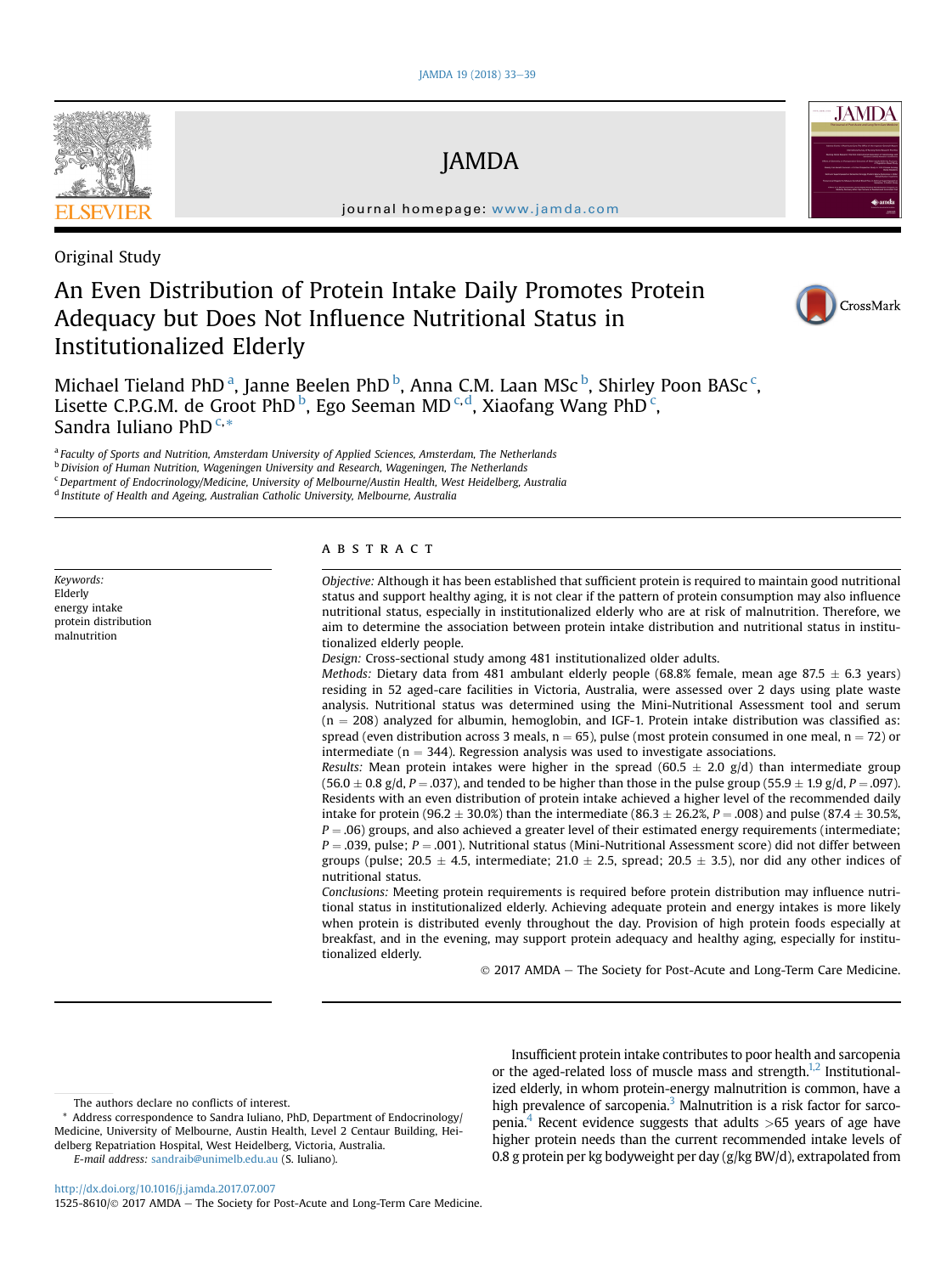

JAMDA

journal homepage: [www.jamda.com](http://www.jamda.com)

# Original Study

# An Even Distribution of Protein Intake Daily Promotes Protein Adequacy but Does Not Influence Nutritional Status in Institutionalized Elderly



CrossMark

**JAMD**<sup>A</sup>

Michael Tieland PhD<sup>a</sup>, Janne Beelen PhD<sup>b</sup>, Anna C.M. Laan MSc<sup>b</sup>, Shirley Poon BASc<sup>c</sup>, Lisette C.P.G.M. de Groot PhD<sup>b</sup>, Ego Seeman MD<sup>c,d</sup>, Xiaofang Wang PhD<sup>c</sup>, Sandra Iuliano PhD<sup>C,\*</sup>

a Faculty of Sports and Nutrition, Amsterdam University of Applied Sciences, Amsterdam, The Netherlands

<sup>b</sup> Division of Human Nutrition, Wageningen University and Research, Wageningen, The Netherlands

 $c$ Department of Endocrinology/Medicine, University of Melbourne/Austin Health, West Heidelberg, Australia

<sup>d</sup> Institute of Health and Ageing, Australian Catholic University, Melbourne, Australia

Keywords: Elderly energy intake protein distribution malnutrition

# ABSTRACT

Objective: Although it has been established that sufficient protein is required to maintain good nutritional status and support healthy aging, it is not clear if the pattern of protein consumption may also influence nutritional status, especially in institutionalized elderly who are at risk of malnutrition. Therefore, we aim to determine the association between protein intake distribution and nutritional status in institutionalized elderly people.

Design: Cross-sectional study among 481 institutionalized older adults.

Methods: Dietary data from 481 ambulant elderly people (68.8% female, mean age 87.5  $\pm$  6.3 years) residing in 52 aged-care facilities in Victoria, Australia, were assessed over 2 days using plate waste analysis. Nutritional status was determined using the Mini-Nutritional Assessment tool and serum  $(n = 208)$  analyzed for albumin, hemoglobin, and IGF-1. Protein intake distribution was classified as: spread (even distribution across 3 meals,  $n = 65$ ), pulse (most protein consumed in one meal,  $n = 72$ ) or intermediate ( $n = 344$ ). Regression analysis was used to investigate associations.

Results: Mean protein intakes were higher in the spread (60.5  $\pm$  2.0 g/d) than intermediate group  $(56.0 \pm 0.8 \text{ g/d}, P = .037)$ , and tended to be higher than those in the pulse group  $(55.9 \pm 1.9 \text{ g/d}, P = .097)$ . Residents with an even distribution of protein intake achieved a higher level of the recommended daily intake for protein (96.2  $\pm$  30.0%) than the intermediate (86.3  $\pm$  26.2%, P = .008) and pulse (87.4  $\pm$  30.5%,  $P = .06$ ) groups, and also achieved a greater level of their estimated energy requirements (intermediate;  $P = .039$ , pulse;  $P = .001$ ). Nutritional status (Mini-Nutritional Assessment score) did not differ between groups (pulse; 20.5  $\pm$  4.5, intermediate; 21.0  $\pm$  2.5, spread; 20.5  $\pm$  3.5), nor did any other indices of nutritional status.

Conclusions: Meeting protein requirements is required before protein distribution may influence nutritional status in institutionalized elderly. Achieving adequate protein and energy intakes is more likely when protein is distributed evenly throughout the day. Provision of high protein foods especially at breakfast, and in the evening, may support protein adequacy and healthy aging, especially for institutionalized elderly.

 $© 2017 AMDA - The Society for Post-Acute and Long-Term Care Medicine.$ 

Insufficient protein intake contributes to poor health and sarcopenia or the aged-related loss of muscle mass and strength. $1,2$  Institutionalized elderly, in whom protein-energy malnutrition is common, have a high prevalence of sarcopenia.<sup>[3](#page-5-0)</sup> Malnutrition is a risk factor for sarco-penia.<sup>[4](#page-5-0)</sup> Recent evidence suggests that adults  $>65$  years of age have higher protein needs than the current recommended intake levels of 0.8 g protein per kg bodyweight per day (g/kg BW/d), extrapolated from

E-mail address: [sandraib@unimelb.edu.au](mailto:sandraib@unimelb.edu.au) (S. Iuliano).

<http://dx.doi.org/10.1016/j.jamda.2017.07.007>

 $1525-8610$   $\odot$   $2017$  AMDA - The Society for Post-Acute and Long-Term Care Medicine.

The authors declare no conflicts of interest.

<sup>\*</sup> Address correspondence to Sandra Iuliano, PhD, Department of Endocrinology/ Medicine, University of Melbourne, Austin Health, Level 2 Centaur Building, Heidelberg Repatriation Hospital, West Heidelberg, Victoria, Australia.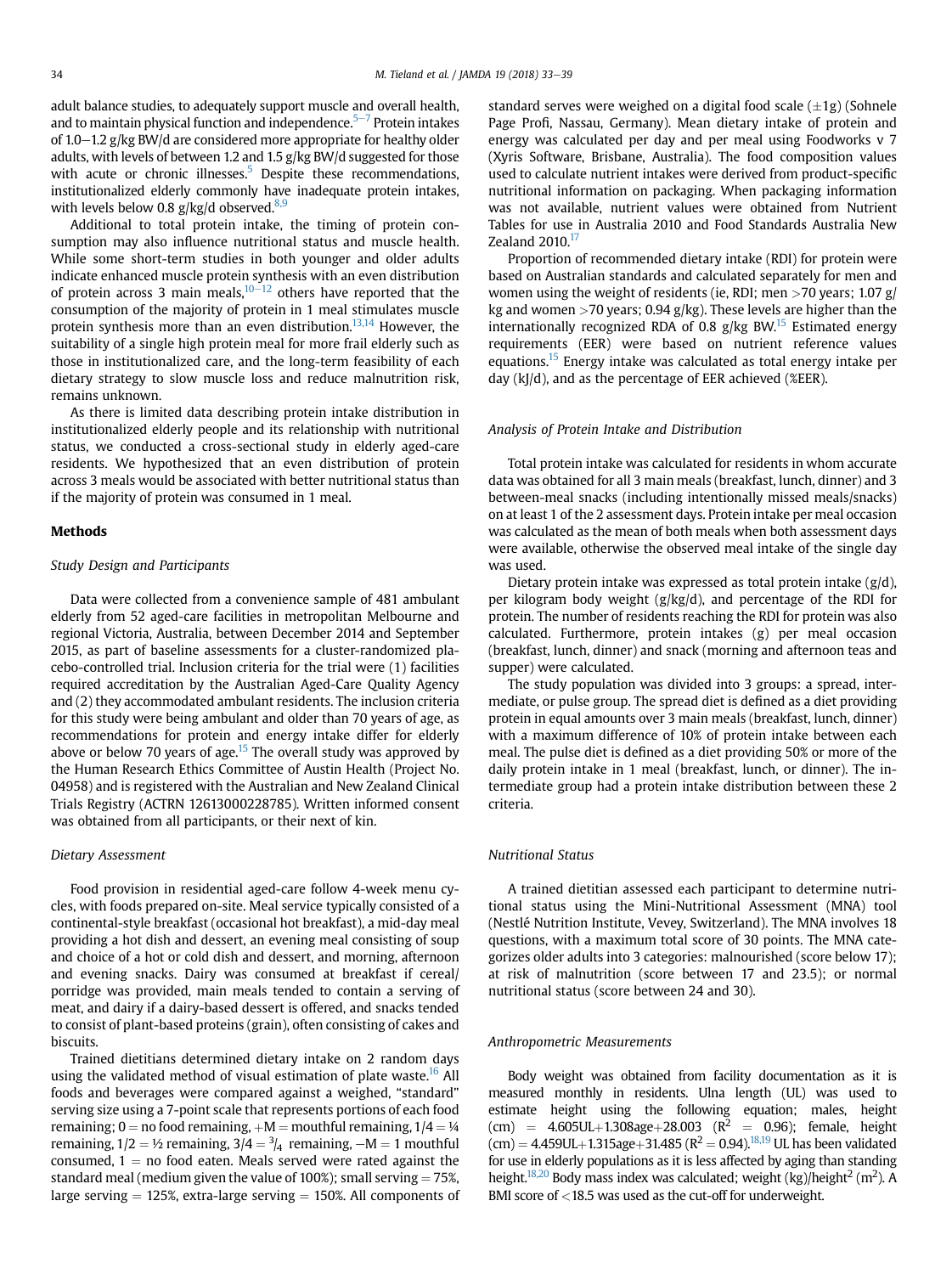adult balance studies, to adequately support muscle and overall health, and to maintain physical function and independence. $5-7$  $5-7$  Protein intakes of 1.0–1.2 g/kg BW/d are considered more appropriate for healthy older adults, with levels of between 1.2 and 1.5 g/kg BW/d suggested for those with acute or chronic illnesses.<sup>5</sup> Despite these recommendations, institutionalized elderly commonly have inadequate protein intakes, with levels below 0.8  $g/kg/d$  observed.<sup>[8,9](#page-5-0)</sup>

Additional to total protein intake, the timing of protein consumption may also influence nutritional status and muscle health. While some short-term studies in both younger and older adults indicate enhanced muscle protein synthesis with an even distribution of protein across 3 main meals, $10-12$  $10-12$  others have reported that the consumption of the majority of protein in 1 meal stimulates muscle protein synthesis more than an even distribution.<sup>[13,14](#page-5-0)</sup> However, the suitability of a single high protein meal for more frail elderly such as those in institutionalized care, and the long-term feasibility of each dietary strategy to slow muscle loss and reduce malnutrition risk, remains unknown.

As there is limited data describing protein intake distribution in institutionalized elderly people and its relationship with nutritional status, we conducted a cross-sectional study in elderly aged-care residents. We hypothesized that an even distribution of protein across 3 meals would be associated with better nutritional status than if the majority of protein was consumed in 1 meal.

# Methods

### Study Design and Participants

Data were collected from a convenience sample of 481 ambulant elderly from 52 aged-care facilities in metropolitan Melbourne and regional Victoria, Australia, between December 2014 and September 2015, as part of baseline assessments for a cluster-randomized placebo-controlled trial. Inclusion criteria for the trial were (1) facilities required accreditation by the Australian Aged-Care Quality Agency and (2) they accommodated ambulant residents. The inclusion criteria for this study were being ambulant and older than 70 years of age, as recommendations for protein and energy intake differ for elderly above or below 70 years of age.<sup>15</sup> The overall study was approved by the Human Research Ethics Committee of Austin Health (Project No. 04958) and is registered with the Australian and New Zealand Clinical Trials Registry (ACTRN 12613000228785). Written informed consent was obtained from all participants, or their next of kin.

#### Dietary Assessment

Food provision in residential aged-care follow 4-week menu cycles, with foods prepared on-site. Meal service typically consisted of a continental-style breakfast (occasional hot breakfast), a mid-day meal providing a hot dish and dessert, an evening meal consisting of soup and choice of a hot or cold dish and dessert, and morning, afternoon and evening snacks. Dairy was consumed at breakfast if cereal/ porridge was provided, main meals tended to contain a serving of meat, and dairy if a dairy-based dessert is offered, and snacks tended to consist of plant-based proteins (grain), often consisting of cakes and biscuits.

Trained dietitians determined dietary intake on 2 random days using the validated method of visual estimation of plate waste.<sup>[16](#page-5-0)</sup> All foods and beverages were compared against a weighed, "standard" serving size using a 7-point scale that represents portions of each food remaining; 0 = no food remaining,  $+M$  = mouthful remaining,  $1/4 = \frac{1}{4}$ remaining,  $1/2 = \frac{1}{2}$  remaining,  $3/4 = \frac{3}{4}$  remaining,  $-M = 1$  mouthful consumed,  $1 =$  no food eaten. Meals served were rated against the standard meal (medium given the value of 100%); small serving  $= 75%$ , large serving  $= 125\%$ , extra-large serving  $= 150\%$ . All components of standard serves were weighed on a digital food scale  $(\pm 1g)$  (Sohnele Page Profi, Nassau, Germany). Mean dietary intake of protein and energy was calculated per day and per meal using Foodworks v 7 (Xyris Software, Brisbane, Australia). The food composition values used to calculate nutrient intakes were derived from product-specific nutritional information on packaging. When packaging information was not available, nutrient values were obtained from Nutrient Tables for use in Australia 2010 and Food Standards Australia New Zealand  $2010.<sup>17</sup>$ 

Proportion of recommended dietary intake (RDI) for protein were based on Australian standards and calculated separately for men and women using the weight of residents (ie, RDI; men  $>$  70 years; 1.07 g/ kg and women  $>$  70 years; 0.94 g/kg). These levels are higher than the internationally recognized RDA of 0.8 g/kg BW.<sup>15</sup> Estimated energy requirements (EER) were based on nutrient reference values equations.<sup>15</sup> Energy intake was calculated as total energy intake per day (kJ/d), and as the percentage of EER achieved (%EER).

#### Analysis of Protein Intake and Distribution

Total protein intake was calculated for residents in whom accurate data was obtained for all 3 main meals (breakfast, lunch, dinner) and 3 between-meal snacks (including intentionally missed meals/snacks) on at least 1 of the 2 assessment days. Protein intake per meal occasion was calculated as the mean of both meals when both assessment days were available, otherwise the observed meal intake of the single day was used.

Dietary protein intake was expressed as total protein intake  $(g/d)$ , per kilogram body weight (g/kg/d), and percentage of the RDI for protein. The number of residents reaching the RDI for protein was also calculated. Furthermore, protein intakes (g) per meal occasion (breakfast, lunch, dinner) and snack (morning and afternoon teas and supper) were calculated.

The study population was divided into 3 groups: a spread, intermediate, or pulse group. The spread diet is defined as a diet providing protein in equal amounts over 3 main meals (breakfast, lunch, dinner) with a maximum difference of 10% of protein intake between each meal. The pulse diet is defined as a diet providing 50% or more of the daily protein intake in 1 meal (breakfast, lunch, or dinner). The intermediate group had a protein intake distribution between these 2 criteria.

# Nutritional Status

A trained dietitian assessed each participant to determine nutritional status using the Mini-Nutritional Assessment (MNA) tool (Nestlé Nutrition Institute, Vevey, Switzerland). The MNA involves 18 questions, with a maximum total score of 30 points. The MNA categorizes older adults into 3 categories: malnourished (score below 17); at risk of malnutrition (score between 17 and 23.5); or normal nutritional status (score between 24 and 30).

#### Anthropometric Measurements

Body weight was obtained from facility documentation as it is measured monthly in residents. Ulna length (UL) was used to estimate height using the following equation; males, height (cm) =  $4.605UL+1.308age+28.003$  ( $R^2$  = 0.96); female, height  $(cm) = 4.459UL+1.315age+31.485 (R<sup>2</sup> = 0.94).$ <sup>18,19</sup> UL has been validated for use in elderly populations as it is less affected by aging than standing height. $^{18,20}$  Body mass index was calculated; weight (kg)/height $^2$  (m $^2$ ). A BMI score of <18.5 was used as the cut-off for underweight.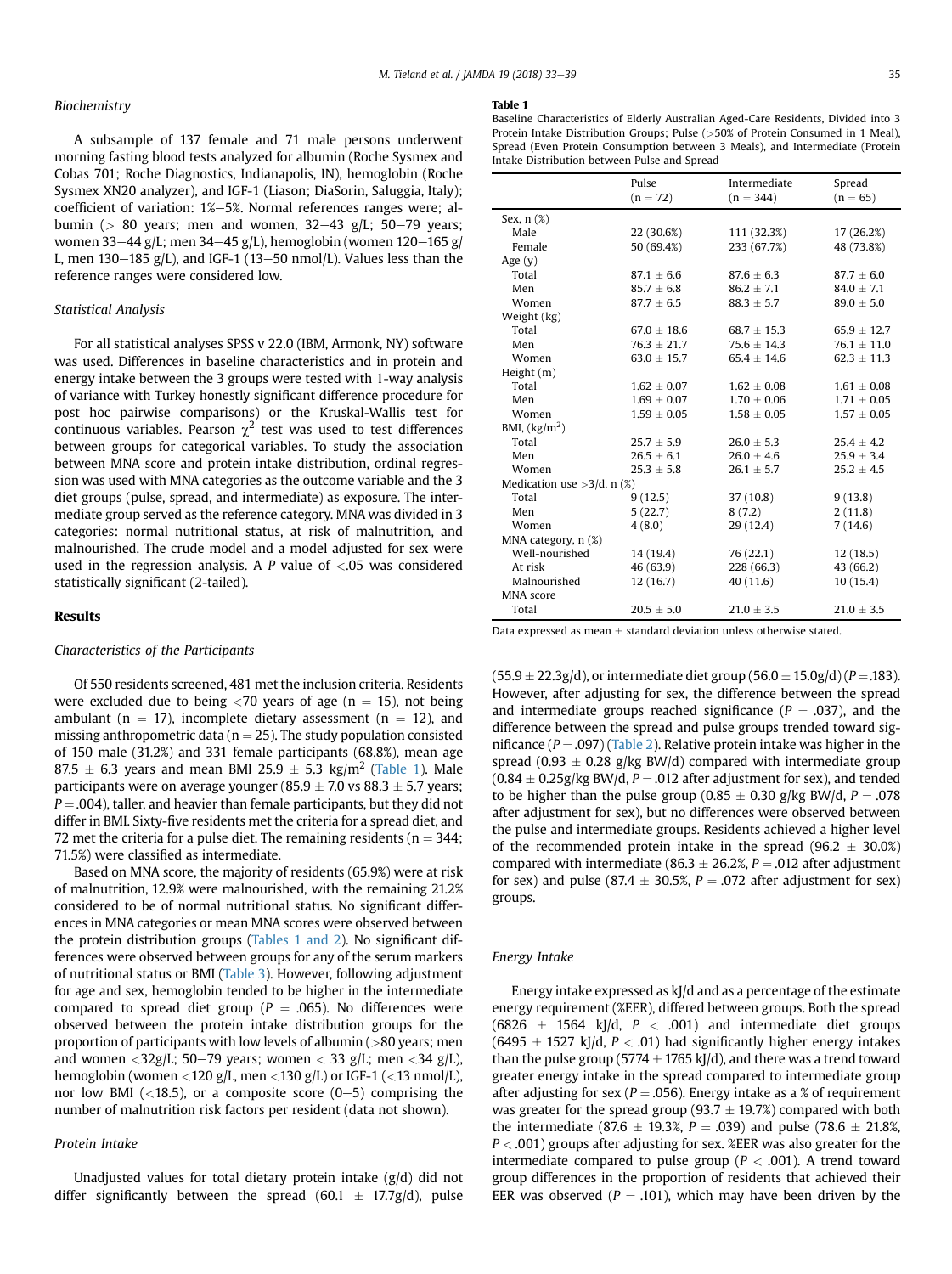# Biochemistry

A subsample of 137 female and 71 male persons underwent morning fasting blood tests analyzed for albumin (Roche Sysmex and Cobas 701; Roche Diagnostics, Indianapolis, IN), hemoglobin (Roche Sysmex XN20 analyzer), and IGF-1 (Liason; DiaSorin, Saluggia, Italy); coefficient of variation: 1%–5%. Normal references ranges were; albumin ( $> 80$  years; men and women,  $32-43$  g/L;  $50-79$  years; women 33–44 g/L; men 34–45 g/L), hemoglobin (women 120–165 g/ L, men  $130-185$  g/L), and IGF-1 (13-50 nmol/L). Values less than the reference ranges were considered low.

## Statistical Analysis

For all statistical analyses SPSS v 22.0 (IBM, Armonk, NY) software was used. Differences in baseline characteristics and in protein and energy intake between the 3 groups were tested with 1-way analysis of variance with Turkey honestly significant difference procedure for post hoc pairwise comparisons) or the Kruskal-Wallis test for continuous variables. Pearson  $\chi^2$  test was used to test differences between groups for categorical variables. To study the association between MNA score and protein intake distribution, ordinal regression was used with MNA categories as the outcome variable and the 3 diet groups (pulse, spread, and intermediate) as exposure. The intermediate group served as the reference category. MNA was divided in 3 categories: normal nutritional status, at risk of malnutrition, and malnourished. The crude model and a model adjusted for sex were used in the regression analysis. A P value of  $\lt$  0.05 was considered statistically significant (2-tailed).

# Results

#### Characteristics of the Participants

Of 550 residents screened, 481 met the inclusion criteria. Residents were excluded due to being  $\langle 70 \rangle$  years of age (n = 15), not being ambulant ( $n = 17$ ), incomplete dietary assessment ( $n = 12$ ), and missing anthropometric data ( $n = 25$ ). The study population consisted of 150 male (31.2%) and 331 female participants (68.8%), mean age 87.5  $\pm$  6.3 years and mean BMI 25.9  $\pm$  5.3 kg/m<sup>2</sup> (Table 1). Male participants were on average younger (85.9  $\pm$  7.0 vs 88.3  $\pm$  5.7 years;  $P = .004$ ), taller, and heavier than female participants, but they did not differ in BMI. Sixty-five residents met the criteria for a spread diet, and 72 met the criteria for a pulse diet. The remaining residents ( $n = 344$ ; 71.5%) were classified as intermediate.

Based on MNA score, the majority of residents (65.9%) were at risk of malnutrition, 12.9% were malnourished, with the remaining 21.2% considered to be of normal nutritional status. No significant differences in MNA categories or mean MNA scores were observed between the protein distribution groups (Tables 1 and 2). No significant differences were observed between groups for any of the serum markers of nutritional status or BMI [\(Table 3](#page-3-0)). However, following adjustment for age and sex, hemoglobin tended to be higher in the intermediate compared to spread diet group ( $P = .065$ ). No differences were observed between the protein intake distribution groups for the proportion of participants with low levels of albumin (>80 years; men and women <32g/L; 50–79 years; women < 33 g/L; men <34 g/L), hemoglobin (women <120 g/L, men <130 g/L) or IGF-1 (<13 nmol/L), nor low BMI ( $\langle 18.5 \rangle$ , or a composite score (0-5) comprising the number of malnutrition risk factors per resident (data not shown).

#### Protein Intake

Unadjusted values for total dietary protein intake (g/d) did not differ significantly between the spread (60.1  $\pm$  17.7g/d), pulse

#### Table 1

|                               | Pulse<br>$(n = 72)$ | Intermediate<br>$(n = 344)$ | Spread<br>$(n = 65)$ |  |  |
|-------------------------------|---------------------|-----------------------------|----------------------|--|--|
| Sex, n (%)                    |                     |                             |                      |  |  |
| Male                          | 22 (30.6%)          | 111 (32.3%)                 | 17 (26.2%)           |  |  |
| Female                        | 50 (69.4%)          | 233 (67.7%)                 | 48 (73.8%)           |  |  |
| Age $(y)$                     |                     |                             |                      |  |  |
| Total                         | $87.1 \pm 6.6$      | $87.6 \pm 6.3$              | $87.7 \pm 6.0$       |  |  |
| Men                           | $85.7 + 6.8$        | $86.2 + 7.1$                | $84.0 + 7.1$         |  |  |
| Women                         | $87.7 \pm 6.5$      | $88.3 \pm 5.7$              | $89.0 \pm 5.0$       |  |  |
| Weight (kg)                   |                     |                             |                      |  |  |
| Total                         | $67.0 + 18.6$       | $68.7 + 15.3$               | $65.9 + 12.7$        |  |  |
| Men                           | $76.3 + 21.7$       | $75.6 \pm 14.3$             | $76.1 \pm 11.0$      |  |  |
| Women                         | $63.0 \pm 15.7$     | $65.4 + 14.6$               | $62.3 + 11.3$        |  |  |
| Height (m)                    |                     |                             |                      |  |  |
| Total                         | $1.62 + 0.07$       | $1.62 + 0.08$               | $1.61 + 0.08$        |  |  |
| Men                           | $1.69 \pm 0.07$     | $1.70 + 0.06$               | $1.71 \pm 0.05$      |  |  |
| Women                         | $1.59 \pm 0.05$     | $1.58 \pm 0.05$             | $1.57 \pm 0.05$      |  |  |
| BMI, $(kg/m2)$                |                     |                             |                      |  |  |
| Total                         | $25.7 \pm 5.9$      | $26.0 \pm 5.3$              | $25.4 \pm 4.2$       |  |  |
| Men                           | $26.5 + 6.1$        | $26.0 + 4.6$                | $25.9 \pm 3.4$       |  |  |
| Women                         | $25.3 \pm 5.8$      | $26.1 \pm 5.7$              | $25.2 \pm 4.5$       |  |  |
| Medication use $>3/d$ , n (%) |                     |                             |                      |  |  |
| Total                         | 9(12.5)             | 37(10.8)                    | 9(13.8)              |  |  |
| Men                           | 5(22.7)             | 8(7.2)                      | 2(11.8)              |  |  |
| Women                         | 4(8.0)              | 29 (12.4)                   | 7(14.6)              |  |  |
| MNA category, n (%)           |                     |                             |                      |  |  |
| Well-nourished                | 14 (19.4)           | 76 (22.1)                   | 12(18.5)             |  |  |
| At risk                       | 46 (63.9)           | 228 (66.3)                  | 43 (66.2)            |  |  |
| Malnourished                  | 12(16.7)            | 40 (11.6)                   | 10(15.4)             |  |  |
| MNA score                     |                     |                             |                      |  |  |
| Total                         | $20.5 + 5.0$        | $21.0 \pm 3.5$              | $21.0 \pm 3.5$       |  |  |

Data expressed as mean  $\pm$  standard deviation unless otherwise stated.

 $(55.9 \pm 22.3g/d)$ , or intermediate diet group  $(56.0 \pm 15.0g/d)$  (P = .183). However, after adjusting for sex, the difference between the spread and intermediate groups reached significance ( $P = .037$ ), and the difference between the spread and pulse groups trended toward significance ( $P = .097$ ) [\(Table 2\)](#page-3-0). Relative protein intake was higher in the spread (0.93  $\pm$  0.28 g/kg BW/d) compared with intermediate group  $(0.84 \pm 0.25$ g/kg BW/d, P = .012 after adjustment for sex), and tended to be higher than the pulse group (0.85  $\pm$  0.30 g/kg BW/d, P = .078 after adjustment for sex), but no differences were observed between the pulse and intermediate groups. Residents achieved a higher level of the recommended protein intake in the spread (96.2  $\pm$  30.0%) compared with intermediate (86.3  $\pm$  26.2%, P = .012 after adjustment for sex) and pulse (87.4  $\pm$  30.5%, P = .072 after adjustment for sex) groups.

#### Energy Intake

Energy intake expressed as kJ/d and as a percentage of the estimate energy requirement (%EER), differed between groups. Both the spread  $(6826 \pm 1564 \text{ kJ/d}, P < .001)$  and intermediate diet groups  $(6495 \pm 1527 \text{ kJ/d}, P < .01)$  had significantly higher energy intakes than the pulse group (5774  $\pm$  1765 kJ/d), and there was a trend toward greater energy intake in the spread compared to intermediate group after adjusting for sex ( $P = .056$ ). Energy intake as a % of requirement was greater for the spread group (93.7  $\pm$  19.7%) compared with both the intermediate (87.6  $\pm$  19.3%, P = .039) and pulse (78.6  $\pm$  21.8%,  $P < .001$ ) groups after adjusting for sex. %EER was also greater for the intermediate compared to pulse group ( $P < .001$ ). A trend toward group differences in the proportion of residents that achieved their EER was observed ( $P = .101$ ), which may have been driven by the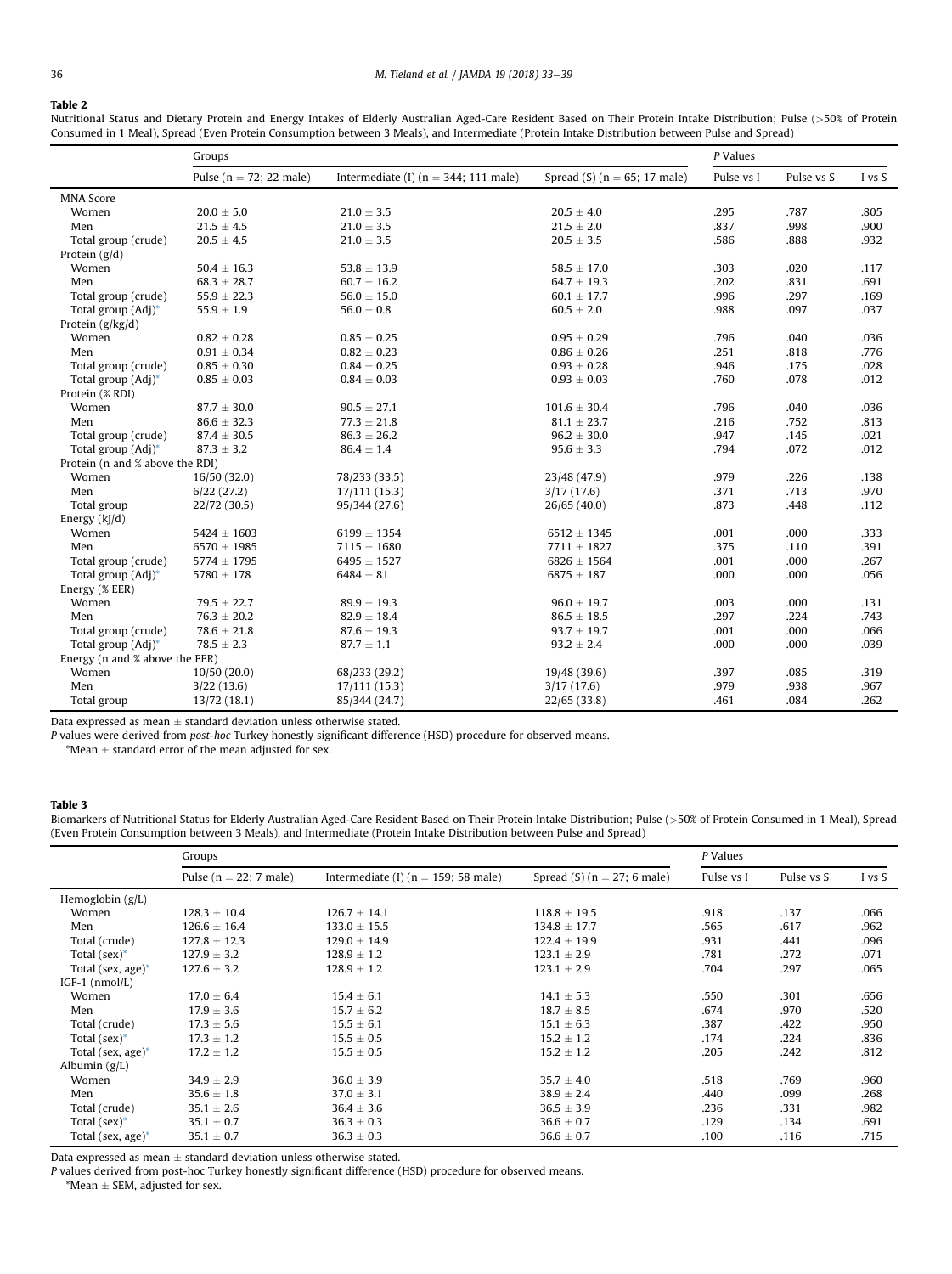# <span id="page-3-0"></span>Table 2

Nutritional Status and Dietary Protein and Energy Intakes of Elderly Australian Aged-Care Resident Based on Their Protein Intake Distribution; Pulse (>50% of Protein Consumed in 1 Meal), Spread (Even Protein Consumption between 3 Meals), and Intermediate (Protein Intake Distribution between Pulse and Spread)

|                                 | Groups                      |                                          |                                  | P Values   |            |        |
|---------------------------------|-----------------------------|------------------------------------------|----------------------------------|------------|------------|--------|
|                                 | Pulse ( $n = 72$ ; 22 male) | Intermediate (I) ( $n = 344$ ; 111 male) | Spread (S) ( $n = 65$ ; 17 male) | Pulse vs I | Pulse vs S | I vs S |
| <b>MNA Score</b>                |                             |                                          |                                  |            |            |        |
| Women                           | $20.0 \pm 5.0$              | $21.0 \pm 3.5$                           | $20.5 \pm 4.0$                   | .295       | .787       | .805   |
| Men                             | $21.5 \pm 4.5$              | $21.0 \pm 3.5$                           | $21.5 \pm 2.0$                   | .837       | .998       | .900   |
| Total group (crude)             | $20.5 \pm 4.5$              | $21.0 \pm 3.5$                           | $20.5 \pm 3.5$                   | .586       | .888       | .932   |
| Protein $(g/d)$                 |                             |                                          |                                  |            |            |        |
| Women                           | $50.4 \pm 16.3$             | $53.8 \pm 13.9$                          | $58.5 \pm 17.0$                  | .303       | .020       | .117   |
| Men                             | $68.3 \pm 28.7$             | $60.7 \pm 16.2$                          | $64.7 \pm 19.3$                  | .202       | .831       | .691   |
| Total group (crude)             | $55.9 \pm 22.3$             | $56.0 \pm 15.0$                          | $60.1 \pm 17.7$                  | .996       | .297       | .169   |
| Total group (Adj)*              | $55.9 \pm 1.9$              | $56.0 \pm 0.8$                           | $60.5 \pm 2.0$                   | .988       | .097       | .037   |
| Protein $(g/kg/d)$              |                             |                                          |                                  |            |            |        |
| Women                           | $0.82 \pm 0.28$             | $0.85 \pm 0.25$                          | $0.95 \pm 0.29$                  | .796       | .040       | .036   |
| Men                             | $0.91 \pm 0.34$             | $0.82 \pm 0.23$                          | $0.86 \pm 0.26$                  | .251       | .818       | .776   |
| Total group (crude)             | $0.85 \pm 0.30$             | $0.84 \pm 0.25$                          | $0.93 \pm 0.28$                  | .946       | .175       | .028   |
| Total group (Adj)*              | $0.85 \pm 0.03$             | $0.84 \pm 0.03$                          | $0.93 \pm 0.03$                  | .760       | .078       | .012   |
| Protein (% RDI)                 |                             |                                          |                                  |            |            |        |
| Women                           | $87.7 \pm 30.0$             | $90.5 \pm 27.1$                          | $101.6 \pm 30.4$                 | .796       | .040       | .036   |
| Men                             | $86.6 \pm 32.3$             | $77.3 \pm 21.8$                          | $81.1 \pm 23.7$                  | .216       | .752       | .813   |
| Total group (crude)             | $87.4 \pm 30.5$             | $86.3 \pm 26.2$                          | $96.2 \pm 30.0$                  | .947       | .145       | .021   |
| Total group (Adj)*              | $87.3 \pm 3.2$              | $86.4 \pm 1.4$                           | $95.6 \pm 3.3$                   | .794       | .072       | .012   |
| Protein (n and % above the RDI) |                             |                                          |                                  |            |            |        |
| Women                           | 16/50 (32.0)                | 78/233 (33.5)                            | 23/48 (47.9)                     | .979       | .226       | .138   |
| Men                             | 6/22(27.2)                  | 17/111 (15.3)                            | 3/17(17.6)                       | .371       | .713       | .970   |
| Total group                     | 22/72 (30.5)                | 95/344 (27.6)                            | 26/65 (40.0)                     | .873       | .448       | .112   |
| Energy (kJ/d)                   |                             |                                          |                                  |            |            |        |
| Women                           | $5424 \pm 1603$             | $6199 \pm 1354$                          | $6512 \pm 1345$                  | .001       | .000       | .333   |
| Men                             | $6570 \pm 1985$             | $7115 \pm 1680$                          | $7711 \pm 1827$                  | .375       | .110       | .391   |
| Total group (crude)             | $5774 \pm 1795$             | $6495 \pm 1527$                          | $6826 \pm 1564$                  | .001       | .000       | .267   |
| Total group (Adj)*              | $5780 \pm 178$              | $6484 \pm 81$                            | $6875 \pm 187$                   | .000       | .000       | .056   |
| Energy (% EER)                  |                             |                                          |                                  |            |            |        |
| Women                           | $79.5 \pm 22.7$             | $89.9 \pm 19.3$                          | $96.0 \pm 19.7$                  | .003       | .000       | .131   |
| Men                             | $76.3 \pm 20.2$             | $82.9 \pm 18.4$                          | $86.5 \pm 18.5$                  | .297       | .224       | .743   |
| Total group (crude)             | $78.6 \pm 21.8$             | $87.6 \pm 19.3$                          | $93.7 \pm 19.7$                  | .001       | .000       | .066   |
| Total group (Adj)*              | $78.5 \pm 2.3$              | $87.7 \pm 1.1$                           | $93.2 \pm 2.4$                   | .000       | .000       | .039   |
| Energy (n and % above the EER)  |                             |                                          |                                  |            |            |        |
| Women                           | 10/50(20.0)                 | 68/233 (29.2)                            | 19/48 (39.6)                     | .397       | .085       | .319   |
| Men                             | 3/22(13.6)                  | 17/111 (15.3)                            | 3/17(17.6)                       | .979       | .938       | .967   |
| Total group                     | 13/72 (18.1)                | 85/344 (24.7)                            | 22/65 (33.8)                     | .461       | .084       | .262   |

Data expressed as mean  $\pm$  standard deviation unless otherwise stated.

P values were derived from post-hoc Turkey honestly significant difference (HSD) procedure for observed means.

\*Mean  $\pm$  standard error of the mean adjusted for sex.

#### Table 3

Biomarkers of Nutritional Status for Elderly Australian Aged-Care Resident Based on Their Protein Intake Distribution; Pulse (>50% of Protein Consumed in 1 Meal), Spread (Even Protein Consumption between 3 Meals), and Intermediate (Protein Intake Distribution between Pulse and Spread)

|                      | Groups                     |                                         |                               | P Values   |            |        |
|----------------------|----------------------------|-----------------------------------------|-------------------------------|------------|------------|--------|
|                      | Pulse ( $n = 22$ ; 7 male) | Intermediate (I) ( $n = 159$ ; 58 male) | Spread $(S)$ (n = 27; 6 male) | Pulse vs I | Pulse vs S | I vs S |
| Hemoglobin $(g/L)$   |                            |                                         |                               |            |            |        |
| Women                | $128.3 \pm 10.4$           | $126.7 \pm 14.1$                        | $118.8 \pm 19.5$              | .918       | .137       | .066   |
| Men                  | $126.6 \pm 16.4$           | $133.0 \pm 15.5$                        | $134.8 \pm 17.7$              | .565       | .617       | .962   |
| Total (crude)        | $127.8 \pm 12.3$           | $129.0 \pm 14.9$                        | $122.4 \pm 19.9$              | .931       | .441       | .096   |
| Total $(sex)^*$      | $127.9 \pm 3.2$            | $128.9 \pm 1.2$                         | $123.1 \pm 2.9$               | .781       | .272       | .071   |
| Total (sex, age) $*$ | $127.6 \pm 3.2$            | $128.9 \pm 1.2$                         | $123.1 \pm 2.9$               | .704       | .297       | .065   |
| $IGF-1$ ( $nmol/L$ ) |                            |                                         |                               |            |            |        |
| Women                | $17.0 \pm 6.4$             | $15.4 \pm 6.1$                          | $14.1 \pm 5.3$                | .550       | .301       | .656   |
| Men                  | $17.9 \pm 3.6$             | $15.7 \pm 6.2$                          | $18.7 \pm 8.5$                | .674       | .970       | .520   |
| Total (crude)        | $17.3 \pm 5.6$             | $15.5 \pm 6.1$                          | $15.1 \pm 6.3$                | .387       | .422       | .950   |
| Total $(sex)^*$      | $17.3 \pm 1.2$             | $15.5 \pm 0.5$                          | $15.2 \pm 1.2$                | .174       | .224       | .836   |
| Total (sex, age)*    | $17.2 \pm 1.2$             | $15.5 \pm 0.5$                          | $15.2 \pm 1.2$                | .205       | .242       | .812   |
| Albumin $(g/L)$      |                            |                                         |                               |            |            |        |
| Women                | $34.9 \pm 2.9$             | $36.0 \pm 3.9$                          | $35.7 \pm 4.0$                | .518       | .769       | .960   |
| Men                  | $35.6 \pm 1.8$             | $37.0 \pm 3.1$                          | $38.9 \pm 2.4$                | .440       | .099       | .268   |
| Total (crude)        | $35.1 \pm 2.6$             | $36.4 \pm 3.6$                          | $36.5 \pm 3.9$                | .236       | .331       | .982   |
| Total $(sex)^*$      | $35.1 \pm 0.7$             | $36.3 \pm 0.3$                          | $36.6 \pm 0.7$                | .129       | .134       | .691   |
| Total (sex, age)*    | $35.1 \pm 0.7$             | $36.3 \pm 0.3$                          | $36.6 \pm 0.7$                | .100       | .116       | .715   |

Data expressed as mean  $\pm$  standard deviation unless otherwise stated.

P values derived from post-hoc Turkey honestly significant difference (HSD) procedure for observed means.

 $*$ Mean  $\pm$  SEM, adjusted for sex.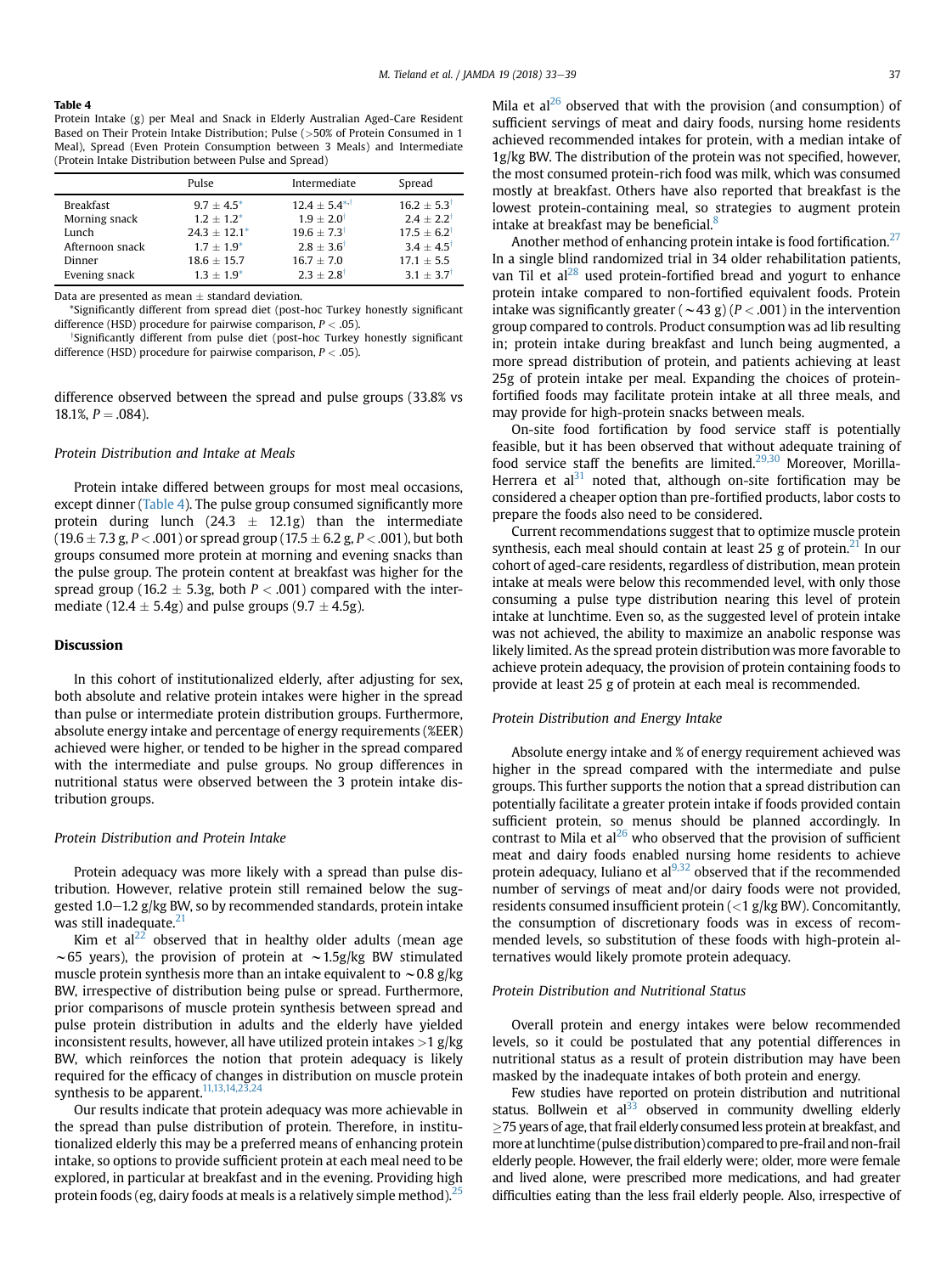#### Table 4

Protein Intake (g) per Meal and Snack in Elderly Australian Aged-Care Resident Based on Their Protein Intake Distribution; Pulse (>50% of Protein Consumed in 1 Meal), Spread (Even Protein Consumption between 3 Meals) and Intermediate (Protein Intake Distribution between Pulse and Spread)

|                  | Pulse          | Intermediate            | Spread                 |
|------------------|----------------|-------------------------|------------------------|
| <b>Breakfast</b> | $9.7 + 4.5^*$  | $12.4 \pm 5.4^{*.1}$    | $16.2 + 5.3$           |
| Morning snack    | $1.2 + 1.2^*$  | $1.9 + 2.0^{\dagger}$   | $2.4 + 2.2$            |
| Lunch            | $24.3 + 12.1*$ | $19.6 + 7.3^{\dagger}$  | $17.5 + 6.2^{\dagger}$ |
| Afternoon snack  | $1.7 + 1.9^*$  | $2.8 \pm 3.6^{\dagger}$ | $3.4 + 4.5$            |
| Dinner           | $18.6 + 15.7$  | $16.7 + 7.0$            | $17.1 + 5.5$           |
| Evening snack    | $1.3 + 1.9^*$  | $2.3 + 2.8$             | $3.1 + 3.7$            |

Data are presented as mean  $\pm$  standard deviation.

\*Significantly different from spread diet (post-hoc Turkey honestly significant difference (HSD) procedure for pairwise comparison,  $P < .05$ ).

<sup>†</sup>Significantly different from pulse diet (post-hoc Turkey honestly significant difference (HSD) procedure for pairwise comparison,  $P < .05$ ).

difference observed between the spread and pulse groups (33.8% vs 18.1%,  $P = .084$ ).

### Protein Distribution and Intake at Meals

Protein intake differed between groups for most meal occasions, except dinner (Table 4). The pulse group consumed significantly more protein during lunch (24.3  $\pm$  12.1g) than the intermediate  $(19.6 \pm 7.3 \text{ g}, P < .001)$  or spread group  $(17.5 \pm 6.2 \text{ g}, P < .001)$ , but both groups consumed more protein at morning and evening snacks than the pulse group. The protein content at breakfast was higher for the spread group (16.2  $\pm$  5.3g, both P < .001) compared with the intermediate (12.4  $\pm$  5.4g) and pulse groups (9.7  $\pm$  4.5g).

# Discussion

In this cohort of institutionalized elderly, after adjusting for sex, both absolute and relative protein intakes were higher in the spread than pulse or intermediate protein distribution groups. Furthermore, absolute energy intake and percentage of energy requirements (%EER) achieved were higher, or tended to be higher in the spread compared with the intermediate and pulse groups. No group differences in nutritional status were observed between the 3 protein intake distribution groups.

#### Protein Distribution and Protein Intake

Protein adequacy was more likely with a spread than pulse distribution. However, relative protein still remained below the suggested 1.0-1.2 g/kg BW, so by recommended standards, protein intake was still inadequate. $21$ 

Kim et  $al^{22}$  $al^{22}$  $al^{22}$  observed that in healthy older adults (mean age  $\sim$  65 years), the provision of protein at  $\sim$  1.5g/kg BW stimulated muscle protein synthesis more than an intake equivalent to  $\sim$  0.8 g/kg BW, irrespective of distribution being pulse or spread. Furthermore, prior comparisons of muscle protein synthesis between spread and pulse protein distribution in adults and the elderly have yielded inconsistent results, however, all have utilized protein intakes  $>1$  g/kg BW, which reinforces the notion that protein adequacy is likely required for the efficacy of changes in distribution on muscle protein synthesis to be apparent.<sup>[11,13,14,23,24](#page-5-0)</sup>

Our results indicate that protein adequacy was more achievable in the spread than pulse distribution of protein. Therefore, in institutionalized elderly this may be a preferred means of enhancing protein intake, so options to provide sufficient protein at each meal need to be explored, in particular at breakfast and in the evening. Providing high protein foods (eg, dairy foods at meals is a relatively simple method). $25$ 

Mila et  $al^{26}$  observed that with the provision (and consumption) of sufficient servings of meat and dairy foods, nursing home residents achieved recommended intakes for protein, with a median intake of 1g/kg BW. The distribution of the protein was not specified, however, the most consumed protein-rich food was milk, which was consumed mostly at breakfast. Others have also reported that breakfast is the lowest protein-containing meal, so strategies to augment protein intake at breakfast may be beneficial.<sup>8</sup>

Another method of enhancing protein intake is food fortification. $27$ In a single blind randomized trial in 34 older rehabilitation patients, van Til et al<sup>[28](#page-6-0)</sup> used protein-fortified bread and yogurt to enhance protein intake compared to non-fortified equivalent foods. Protein intake was significantly greater ( $\sim$  43 g) ( $P < .001$ ) in the intervention group compared to controls. Product consumption was ad lib resulting in; protein intake during breakfast and lunch being augmented, a more spread distribution of protein, and patients achieving at least 25g of protein intake per meal. Expanding the choices of proteinfortified foods may facilitate protein intake at all three meals, and may provide for high-protein snacks between meals.

On-site food fortification by food service staff is potentially feasible, but it has been observed that without adequate training of food service staff the benefits are limited. $29,30$  Moreover, Morilla-Herrera et al<sup>[31](#page-6-0)</sup> noted that, although on-site fortification may be considered a cheaper option than pre-fortified products, labor costs to prepare the foods also need to be considered.

Current recommendations suggest that to optimize muscle protein synthesis, each meal should contain at least 25 g of protein.<sup>21</sup> In our cohort of aged-care residents, regardless of distribution, mean protein intake at meals were below this recommended level, with only those consuming a pulse type distribution nearing this level of protein intake at lunchtime. Even so, as the suggested level of protein intake was not achieved, the ability to maximize an anabolic response was likely limited. As the spread protein distribution was more favorable to achieve protein adequacy, the provision of protein containing foods to provide at least 25 g of protein at each meal is recommended.

#### Protein Distribution and Energy Intake

Absolute energy intake and % of energy requirement achieved was higher in the spread compared with the intermediate and pulse groups. This further supports the notion that a spread distribution can potentially facilitate a greater protein intake if foods provided contain sufficient protein, so menus should be planned accordingly. In contrast to Mila et  $al^{26}$  $al^{26}$  $al^{26}$  who observed that the provision of sufficient meat and dairy foods enabled nursing home residents to achieve protein adequacy, Iuliano et al $^{9,32}$  $^{9,32}$  $^{9,32}$  observed that if the recommended number of servings of meat and/or dairy foods were not provided, residents consumed insufficient protein  $\left($  < 1 g/kg BW). Concomitantly, the consumption of discretionary foods was in excess of recommended levels, so substitution of these foods with high-protein alternatives would likely promote protein adequacy.

#### Protein Distribution and Nutritional Status

Overall protein and energy intakes were below recommended levels, so it could be postulated that any potential differences in nutritional status as a result of protein distribution may have been masked by the inadequate intakes of both protein and energy.

Few studies have reported on protein distribution and nutritional status. Bollwein et al $^{33}$  observed in community dwelling elderly  $\geq$ 75 years of age, that frail elderly consumed less protein at breakfast, and more atlunchtime (pulse distribution) compared to pre-frail and non-frail elderly people. However, the frail elderly were; older, more were female and lived alone, were prescribed more medications, and had greater difficulties eating than the less frail elderly people. Also, irrespective of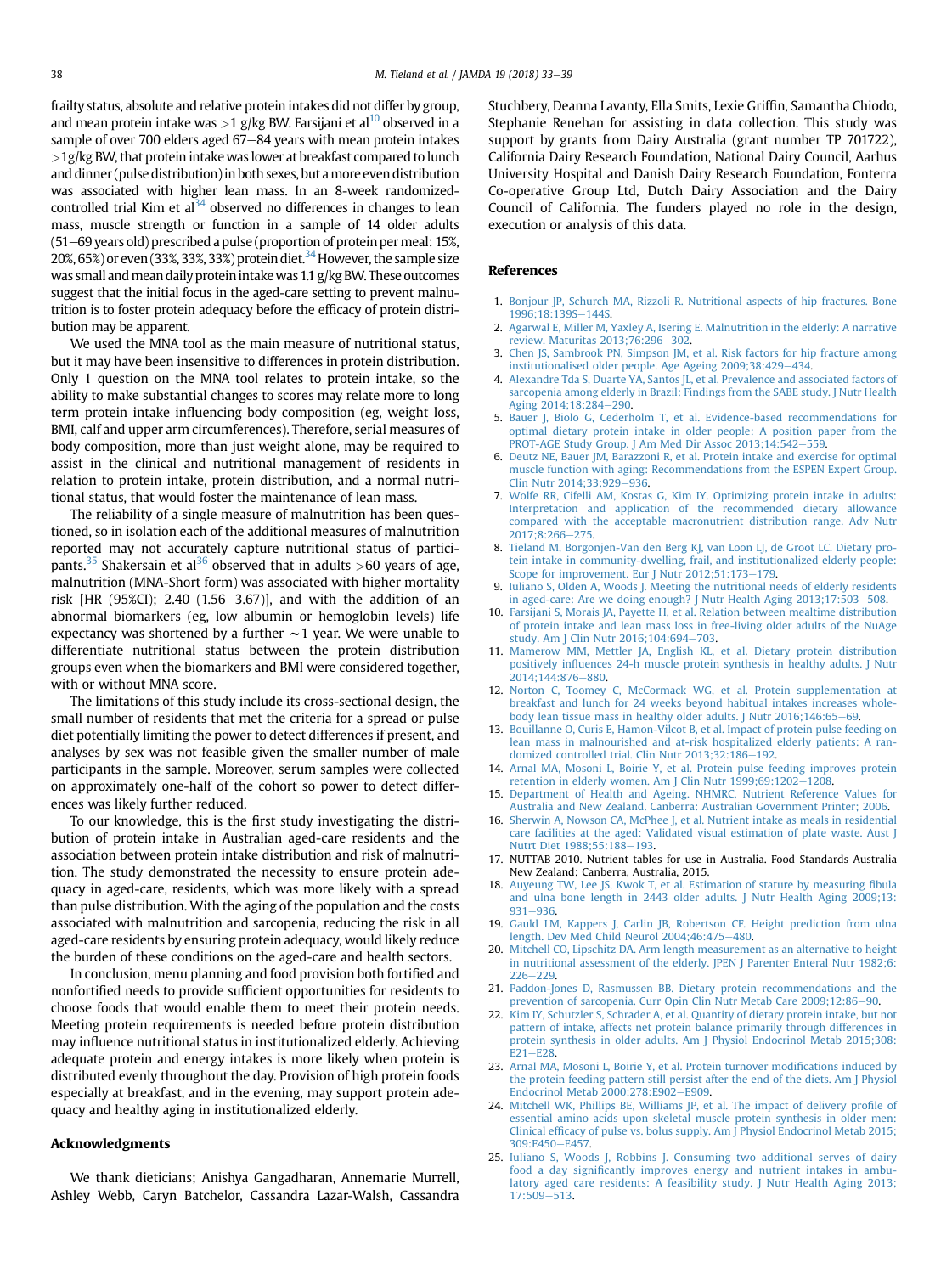<span id="page-5-0"></span>frailty status, absolute and relative protein intakes did not differ by group, and mean protein intake was  $>1$  g/kg BW. Farsijani et al<sup>10</sup> observed in a sample of over 700 elders aged  $67-84$  years with mean protein intakes  $>1$ g/kg BW, that protein intake was lower at breakfast compared to lunch and dinner (pulse distribution) in both sexes, but amore even distribution was associated with higher lean mass. In an 8-week randomized-controlled trial Kim et al<sup>[34](#page-6-0)</sup> observed no differences in changes to lean mass, muscle strength or function in a sample of 14 older adults  $(51–69$  years old) prescribed a pulse (proportion of protein per meal: 15%, 20%, 65%) or even (33%, 33%, 33%) protein diet.<sup>34</sup> However, the sample size was small and mean daily protein intake was 1.1  $g/kg$  BW. These outcomes suggest that the initial focus in the aged-care setting to prevent malnutrition is to foster protein adequacy before the efficacy of protein distribution may be apparent.

We used the MNA tool as the main measure of nutritional status, but it may have been insensitive to differences in protein distribution. Only 1 question on the MNA tool relates to protein intake, so the ability to make substantial changes to scores may relate more to long term protein intake influencing body composition (eg, weight loss, BMI, calf and upper arm circumferences). Therefore, serial measures of body composition, more than just weight alone, may be required to assist in the clinical and nutritional management of residents in relation to protein intake, protein distribution, and a normal nutritional status, that would foster the maintenance of lean mass.

The reliability of a single measure of malnutrition has been questioned, so in isolation each of the additional measures of malnutrition reported may not accurately capture nutritional status of partici-pants.<sup>35</sup> Shakersain et al<sup>[36](#page-6-0)</sup> observed that in adults >60 years of age, malnutrition (MNA-Short form) was associated with higher mortality risk [HR (95%CI); 2.40 (1.56-3.67)], and with the addition of an abnormal biomarkers (eg, low albumin or hemoglobin levels) life expectancy was shortened by a further  $\sim$  1 year. We were unable to differentiate nutritional status between the protein distribution groups even when the biomarkers and BMI were considered together, with or without MNA score.

The limitations of this study include its cross-sectional design, the small number of residents that met the criteria for a spread or pulse diet potentially limiting the power to detect differences if present, and analyses by sex was not feasible given the smaller number of male participants in the sample. Moreover, serum samples were collected on approximately one-half of the cohort so power to detect differences was likely further reduced.

To our knowledge, this is the first study investigating the distribution of protein intake in Australian aged-care residents and the association between protein intake distribution and risk of malnutrition. The study demonstrated the necessity to ensure protein adequacy in aged-care, residents, which was more likely with a spread than pulse distribution. With the aging of the population and the costs associated with malnutrition and sarcopenia, reducing the risk in all aged-care residents by ensuring protein adequacy, would likely reduce the burden of these conditions on the aged-care and health sectors.

In conclusion, menu planning and food provision both fortified and nonfortified needs to provide sufficient opportunities for residents to choose foods that would enable them to meet their protein needs. Meeting protein requirements is needed before protein distribution may influence nutritional status in institutionalized elderly. Achieving adequate protein and energy intakes is more likely when protein is distributed evenly throughout the day. Provision of high protein foods especially at breakfast, and in the evening, may support protein adequacy and healthy aging in institutionalized elderly.

#### Acknowledgments

We thank dieticians; Anishya Gangadharan, Annemarie Murrell, Ashley Webb, Caryn Batchelor, Cassandra Lazar-Walsh, Cassandra Stuchbery, Deanna Lavanty, Ella Smits, Lexie Griffin, Samantha Chiodo, Stephanie Renehan for assisting in data collection. This study was support by grants from Dairy Australia (grant number TP 701722), California Dairy Research Foundation, National Dairy Council, Aarhus University Hospital and Danish Dairy Research Foundation, Fonterra Co-operative Group Ltd, Dutch Dairy Association and the Dairy Council of California. The funders played no role in the design, execution or analysis of this data.

### References

- 1. [Bonjour JP, Schurch MA, Rizzoli R. Nutritional aspects of hip fractures. Bone](http://refhub.elsevier.com/S1525-8610(17)30405-X/sref1) [1996;18:139S](http://refhub.elsevier.com/S1525-8610(17)30405-X/sref1)-[144S.](http://refhub.elsevier.com/S1525-8610(17)30405-X/sref1)
- 2. [Agarwal E, Miller M, Yaxley A, Isering E. Malnutrition in the elderly: A narrative](http://refhub.elsevier.com/S1525-8610(17)30405-X/sref2) [review. Maturitas 2013;76:296](http://refhub.elsevier.com/S1525-8610(17)30405-X/sref2)-[302.](http://refhub.elsevier.com/S1525-8610(17)30405-X/sref2)
- 3. [Chen JS, Sambrook PN, Simpson JM, et al. Risk factors for hip fracture among](http://refhub.elsevier.com/S1525-8610(17)30405-X/sref3) [institutionalised older people. Age Ageing 2009;38:429](http://refhub.elsevier.com/S1525-8610(17)30405-X/sref3)-[434](http://refhub.elsevier.com/S1525-8610(17)30405-X/sref3).
- 4. [Alexandre Tda S, Duarte YA, Santos JL, et al. Prevalence and associated factors of](http://refhub.elsevier.com/S1525-8610(17)30405-X/sref4) [sarcopenia among elderly in Brazil: Findings from the SABE study. J Nutr Health](http://refhub.elsevier.com/S1525-8610(17)30405-X/sref4) Aging 2014:18:284-[290.](http://refhub.elsevier.com/S1525-8610(17)30405-X/sref4)
- 5. [Bauer J, Biolo G, Cederholm T, et al. Evidence-based recommendations for](http://refhub.elsevier.com/S1525-8610(17)30405-X/sref5) [optimal dietary protein intake in older people: A position paper from the](http://refhub.elsevier.com/S1525-8610(17)30405-X/sref5) [PROT-AGE Study Group. J Am Med Dir Assoc 2013;14:542](http://refhub.elsevier.com/S1525-8610(17)30405-X/sref5)-[559](http://refhub.elsevier.com/S1525-8610(17)30405-X/sref5).
- 6. [Deutz NE, Bauer JM, Barazzoni R, et al. Protein intake and exercise for optimal](http://refhub.elsevier.com/S1525-8610(17)30405-X/sref6) [muscle function with aging: Recommendations from the ESPEN Expert Group.](http://refhub.elsevier.com/S1525-8610(17)30405-X/sref6) [Clin Nutr 2014;33:929](http://refhub.elsevier.com/S1525-8610(17)30405-X/sref6)-[936](http://refhub.elsevier.com/S1525-8610(17)30405-X/sref6).
- 7. [Wolfe RR, Cifelli AM, Kostas G, Kim IY. Optimizing protein intake in adults:](http://refhub.elsevier.com/S1525-8610(17)30405-X/sref7) [Interpretation and application of the recommended dietary allowance](http://refhub.elsevier.com/S1525-8610(17)30405-X/sref7) [compared with the acceptable macronutrient distribution range. Adv Nutr](http://refhub.elsevier.com/S1525-8610(17)30405-X/sref7) 2017:8:266-[275](http://refhub.elsevier.com/S1525-8610(17)30405-X/sref7).
- 8. [Tieland M, Borgonjen-Van den Berg KJ, van Loon LJ, de Groot LC. Dietary pro](http://refhub.elsevier.com/S1525-8610(17)30405-X/sref8)[tein intake in community-dwelling, frail, and institutionalized elderly people:](http://refhub.elsevier.com/S1525-8610(17)30405-X/sref8) [Scope for improvement. Eur J Nutr 2012;51:173](http://refhub.elsevier.com/S1525-8610(17)30405-X/sref8)-[179.](http://refhub.elsevier.com/S1525-8610(17)30405-X/sref8)
- 9. [Iuliano S, Olden A, Woods J. Meeting the nutritional needs of elderly residents](http://refhub.elsevier.com/S1525-8610(17)30405-X/sref9) [in aged-care: Are we doing enough? J Nutr Health Aging 2013;17:503](http://refhub.elsevier.com/S1525-8610(17)30405-X/sref9)-[508](http://refhub.elsevier.com/S1525-8610(17)30405-X/sref9).
- 10. [Farsijani S, Morais JA, Payette H, et al. Relation between mealtime distribution](http://refhub.elsevier.com/S1525-8610(17)30405-X/sref10) [of protein intake and lean mass loss in free-living older adults of the NuAge](http://refhub.elsevier.com/S1525-8610(17)30405-X/sref10) [study. Am J Clin Nutr 2016;104:694](http://refhub.elsevier.com/S1525-8610(17)30405-X/sref10)-[703.](http://refhub.elsevier.com/S1525-8610(17)30405-X/sref10)
- 11. [Mamerow MM, Mettler JA, English KL, et al. Dietary protein distribution](http://refhub.elsevier.com/S1525-8610(17)30405-X/sref11) positively infl[uences 24-h muscle protein synthesis in healthy adults. J Nutr](http://refhub.elsevier.com/S1525-8610(17)30405-X/sref11) 2014:144:876-[880](http://refhub.elsevier.com/S1525-8610(17)30405-X/sref11).
- 12. [Norton C, Toomey C, McCormack WG, et al. Protein supplementation at](http://refhub.elsevier.com/S1525-8610(17)30405-X/sref12) [breakfast and lunch for 24 weeks beyond habitual intakes increases whole](http://refhub.elsevier.com/S1525-8610(17)30405-X/sref12)[body lean tissue mass in healthy older adults. J Nutr 2016;146:65](http://refhub.elsevier.com/S1525-8610(17)30405-X/sref12)-[69.](http://refhub.elsevier.com/S1525-8610(17)30405-X/sref12)
- 13. [Bouillanne O, Curis E, Hamon-Vilcot B, et al. Impact of protein pulse feeding on](http://refhub.elsevier.com/S1525-8610(17)30405-X/sref13) [lean mass in malnourished and at-risk hospitalized elderly patients: A ran-](http://refhub.elsevier.com/S1525-8610(17)30405-X/sref13)domized controlled trial. Clin Nutr 2013:32:186-[192](http://refhub.elsevier.com/S1525-8610(17)30405-X/sref13).
- 14. [Arnal MA, Mosoni L, Boirie Y, et al. Protein pulse feeding improves protein](http://refhub.elsevier.com/S1525-8610(17)30405-X/sref14) retention in elderly women. Am J Clin Nutr  $1999;69:1202-1208$  $1999;69:1202-1208$ .
- 15. [Department of Health and Ageing. NHMRC, Nutrient Reference Values for](http://refhub.elsevier.com/S1525-8610(17)30405-X/sref15) [Australia and New Zealand. Canberra: Australian Government Printer; 2006](http://refhub.elsevier.com/S1525-8610(17)30405-X/sref15).
- 16. [Sherwin A, Nowson CA, McPhee J, et al. Nutrient intake as meals in residential](http://refhub.elsevier.com/S1525-8610(17)30405-X/sref16) [care facilities at the aged: Validated visual estimation of plate waste. Aust J](http://refhub.elsevier.com/S1525-8610(17)30405-X/sref16) Nutrt Diet 1988:55:188-[193.](http://refhub.elsevier.com/S1525-8610(17)30405-X/sref16)
- 17. NUTTAB 2010. Nutrient tables for use in Australia. Food Standards Australia New Zealand: Canberra, Australia, 2015.
- 18. [Auyeung TW, Lee JS, Kwok T, et al. Estimation of stature by measuring](http://refhub.elsevier.com/S1525-8610(17)30405-X/sref18) fibula [and ulna bone length in 2443 older adults. J Nutr Health Aging 2009;13:](http://refhub.elsevier.com/S1525-8610(17)30405-X/sref18) [931](http://refhub.elsevier.com/S1525-8610(17)30405-X/sref18)-[936](http://refhub.elsevier.com/S1525-8610(17)30405-X/sref18).
- 19. [Gauld LM, Kappers J, Carlin JB, Robertson CF. Height prediction from ulna](http://refhub.elsevier.com/S1525-8610(17)30405-X/sref19) [length. Dev Med Child Neurol 2004;46:475](http://refhub.elsevier.com/S1525-8610(17)30405-X/sref19)-[480.](http://refhub.elsevier.com/S1525-8610(17)30405-X/sref19)
- 20. [Mitchell CO, Lipschitz DA. Arm length measurement as an alternative to height](http://refhub.elsevier.com/S1525-8610(17)30405-X/sref20) [in nutritional assessment of the elderly. JPEN J Parenter Enteral Nutr 1982;6:](http://refhub.elsevier.com/S1525-8610(17)30405-X/sref20)  $226 - 229$  $226 - 229$  $226 - 229$ .
- 21. [Paddon-Jones D, Rasmussen BB. Dietary protein recommendations and the](http://refhub.elsevier.com/S1525-8610(17)30405-X/sref21) [prevention of sarcopenia. Curr Opin Clin Nutr Metab Care 2009;12:86](http://refhub.elsevier.com/S1525-8610(17)30405-X/sref21)-[90.](http://refhub.elsevier.com/S1525-8610(17)30405-X/sref21)
- 22. [Kim IY, Schutzler S, Schrader A, et al. Quantity of dietary protein intake, but not](http://refhub.elsevier.com/S1525-8610(17)30405-X/sref22) [pattern of intake, affects net protein balance primarily through differences in](http://refhub.elsevier.com/S1525-8610(17)30405-X/sref22) [protein synthesis in older adults. Am J Physiol Endocrinol Metab 2015;308:](http://refhub.elsevier.com/S1525-8610(17)30405-X/sref22)  $E21 - E28$  $E21 - E28$ .
- 23. [Arnal MA, Mosoni L, Boirie Y, et al. Protein turnover modi](http://refhub.elsevier.com/S1525-8610(17)30405-X/sref23)fications induced by [the protein feeding pattern still persist after the end of the diets. Am J Physiol](http://refhub.elsevier.com/S1525-8610(17)30405-X/sref23) Endocrinol Metab  $2000;278;E902 - E909$  $2000;278;E902 - E909$ .
- 24. [Mitchell WK, Phillips BE, Williams JP, et al. The impact of delivery pro](http://refhub.elsevier.com/S1525-8610(17)30405-X/sref24)file of [essential amino acids upon skeletal muscle protein synthesis in older men:](http://refhub.elsevier.com/S1525-8610(17)30405-X/sref24) Clinical effi[cacy of pulse vs. bolus supply. Am J Physiol Endocrinol Metab 2015;](http://refhub.elsevier.com/S1525-8610(17)30405-X/sref24)  $309:$ F450-F457
- 25. [Iuliano S, Woods J, Robbins J. Consuming two additional serves of dairy](http://refhub.elsevier.com/S1525-8610(17)30405-X/sref25) food a day signifi[cantly improves energy and nutrient intakes in ambu](http://refhub.elsevier.com/S1525-8610(17)30405-X/sref25)[latory aged care residents: A feasibility study. J Nutr Health Aging 2013;](http://refhub.elsevier.com/S1525-8610(17)30405-X/sref25)  $17:509 - 513.$  $17:509 - 513.$  $17:509 - 513.$